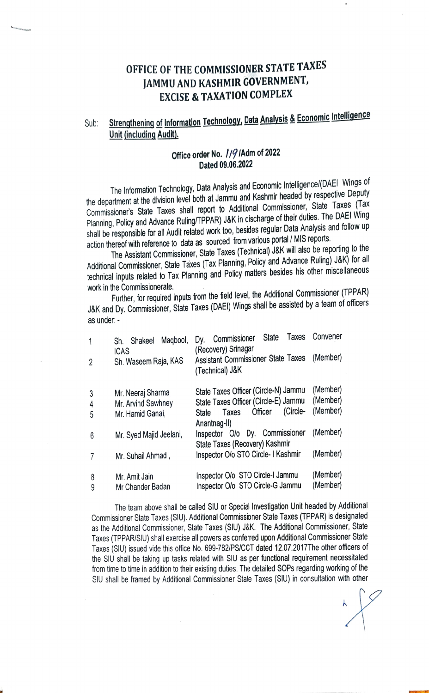## OFFICE OF THE COMMISSIONER STATE TAXES JAMMU AND KASHMIR GOVERNMENT, EXCISE& TAXATION cOMPLEX

## Sub: Strengthening of Information Technology, Data Analysis & Economic Intelligence Unit (including Audit).

## Office order No. // 9 / Adm of 2022 Dated 09.06.2022

The Information Technology, Data Analysis and Economic Intelligence/(DAEI Wingsof the department at the division level both at Jammu and Kashmir headed by respective Deputy Commissioner's State Taxes shall report to Additional Commissioner, State Taxes (Tax Planning, Policy and Advance Ruling/TPPAR) J&K in discharge of their duties. The DAEI Wing shall be responsible for all Audit related work too, besides regular Data Analysis and follow up action thereof with reference to data as sourced from various portal / MIS reports.

The Assistant Commissioner, State Taxes (Technical) JaK will also be reporting to the Additional Commissioner, State Taxes (Tax Planning, Policy and Advance Ruling) J&K) for all technical inputs related to Tax Planning and Policy matters besides his other miscellaneous work in the Commissionerate.

Further, for required inputs from the field level, the Additional Commissioner (TPPAR) J&K and Dy. Commissioner, State Taxes (DAEI) Wings shall be assisted by a team of officers as under

| 1<br>2      | Maqbool,<br>Shakeel<br>Sh.<br><b>ICAS</b><br>Sh. Waseem Raja, KAS | Taxes<br><b>State</b><br>Commissioner<br>Dy.<br>(Recovery) Srinagar<br>Assistant Commissioner State Taxes<br>(Technical) J&K          | Convener<br>(Member)             |
|-------------|-------------------------------------------------------------------|---------------------------------------------------------------------------------------------------------------------------------------|----------------------------------|
| 3<br>4<br>5 | Mr. Neeraj Sharma<br>Mr. Arvind Sawhney<br>Mr. Hamid Ganai,       | State Taxes Officer (Circle-N) Jammu<br>State Taxes Officer (Circle-E) Jammu<br>(Circle-<br>Officer<br>Taxes<br>State<br>Anantnag-II) | (Member)<br>(Member)<br>(Member) |
| 6           | Mr. Syed Majid Jeelani,                                           | Inspector O/o Dy. Commissioner<br>State Taxes (Recovery) Kashmir                                                                      | (Member)                         |
| 7           | Mr. Suhail Ahmad,                                                 | Inspector O/o STO Circle- I Kashmir                                                                                                   | (Member)                         |
| 8<br>9      | Mr. Amit Jain<br>Mr Chander Badan                                 | Inspector O/o STO Circle-I Jammu<br>Inspector O/o STO Circle-G Jammu                                                                  | (Member)<br>(Member)             |

The team above shall be called SlU or Special Investigation Unit headed by Aditional Commissioner State Taxes (SIU). Additional Commissioner State Taxes (TPPAR) is designated as the Addifional Commissioner, State Taxes (SIU) J&K. The Additional Commissioner, Slate Taxes (TPPARSIU) shall exercise all powers as confered upon Aditional Commissioner State Taxes (SIU) issued vide this office No. 699-782/PSICCT dated 12.07.2017The other offcers of the SIU shall be taking up tasks related with SIU as per functional requirement necessitated from time to time in addition to their existing duties. The detailed SOPs regarding working of the SIU shall be framed by Aditional Commissioner State Taxes (SIU) in consultation with other